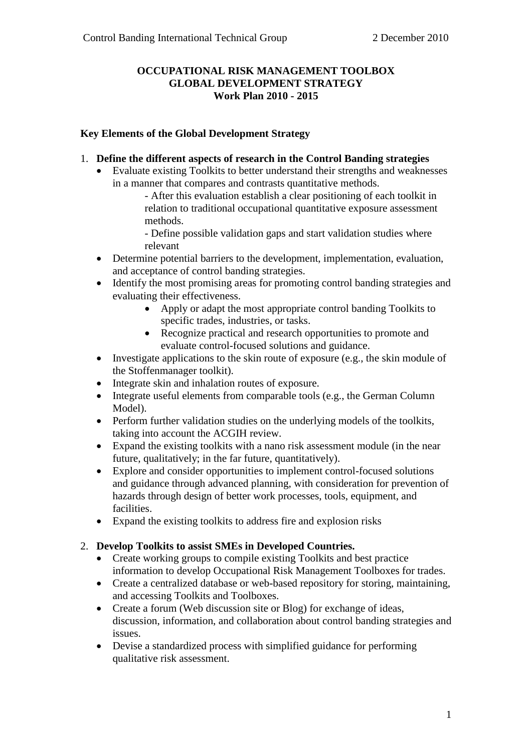### **OCCUPATIONAL RISK MANAGEMENT TOOLBOX GLOBAL DEVELOPMENT STRATEGY Work Plan 2010 - 2015**

### **Key Elements of the Global Development Strategy**

- 1. **Define the different aspects of research in the Control Banding strategies**
	- Evaluate existing Toolkits to better understand their strengths and weaknesses in a manner that compares and contrasts quantitative methods.
		- After this evaluation establish a clear positioning of each toolkit in relation to traditional occupational quantitative exposure assessment methods.

- Define possible validation gaps and start validation studies where relevant

- Determine potential barriers to the development, implementation, evaluation, and acceptance of control banding strategies.
- Identify the most promising areas for promoting control banding strategies and evaluating their effectiveness.
	- Apply or adapt the most appropriate control banding Toolkits to specific trades, industries, or tasks.
		- Recognize practical and research opportunities to promote and evaluate control-focused solutions and guidance.
- Investigate applications to the skin route of exposure (e.g., the skin module of the Stoffenmanager toolkit).
- Integrate skin and inhalation routes of exposure.
- Integrate useful elements from comparable tools (e.g., the German Column Model).
- Perform further validation studies on the underlying models of the toolkits, taking into account the ACGIH review.
- Expand the existing toolkits with a nano risk assessment module (in the near future, qualitatively; in the far future, quantitatively).
- Explore and consider opportunities to implement control-focused solutions and guidance through advanced planning, with consideration for prevention of hazards through design of better work processes, tools, equipment, and facilities.
- Expand the existing toolkits to address fire and explosion risks

### 2. **Develop Toolkits to assist SMEs in Developed Countries.**

- Create working groups to compile existing Toolkits and best practice information to develop Occupational Risk Management Toolboxes for trades.
- Create a centralized database or web-based repository for storing, maintaining, and accessing Toolkits and Toolboxes.
- Create a forum (Web discussion site or Blog) for exchange of ideas, discussion, information, and collaboration about control banding strategies and issues.
- Devise a standardized process with simplified guidance for performing qualitative risk assessment.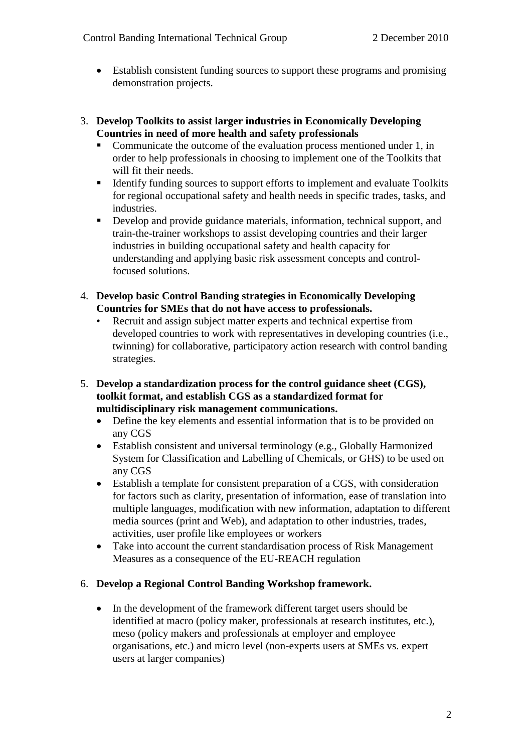- Establish consistent funding sources to support these programs and promising demonstration projects.
- 3. **Develop Toolkits to assist larger industries in Economically Developing Countries in need of more health and safety professionals**
	- Communicate the outcome of the evaluation process mentioned under 1, in order to help professionals in choosing to implement one of the Toolkits that will fit their needs.
	- Identify funding sources to support efforts to implement and evaluate Toolkits for regional occupational safety and health needs in specific trades, tasks, and industries.
	- Develop and provide guidance materials, information, technical support, and train-the-trainer workshops to assist developing countries and their larger industries in building occupational safety and health capacity for understanding and applying basic risk assessment concepts and controlfocused solutions.
- 4. **Develop basic Control Banding strategies in Economically Developing Countries for SMEs that do not have access to professionals.**
	- Recruit and assign subject matter experts and technical expertise from developed countries to work with representatives in developing countries (i.e., twinning) for collaborative, participatory action research with control banding strategies.
- 5. **Develop a standardization process for the control guidance sheet (CGS), toolkit format, and establish CGS as a standardized format for multidisciplinary risk management communications.**
	- Define the key elements and essential information that is to be provided on any CGS
	- Establish consistent and universal terminology (e.g., Globally Harmonized System for Classification and Labelling of Chemicals, or GHS) to be used on any CGS
	- Establish a template for consistent preparation of a CGS, with consideration for factors such as clarity, presentation of information, ease of translation into multiple languages, modification with new information, adaptation to different media sources (print and Web), and adaptation to other industries, trades, activities, user profile like employees or workers
	- Take into account the current standardisation process of Risk Management Measures as a consequence of the EU-REACH regulation

## 6. **Develop a Regional Control Banding Workshop framework.**

• In the development of the framework different target users should be identified at macro (policy maker, professionals at research institutes, etc.), meso (policy makers and professionals at employer and employee organisations, etc.) and micro level (non-experts users at SMEs vs. expert users at larger companies)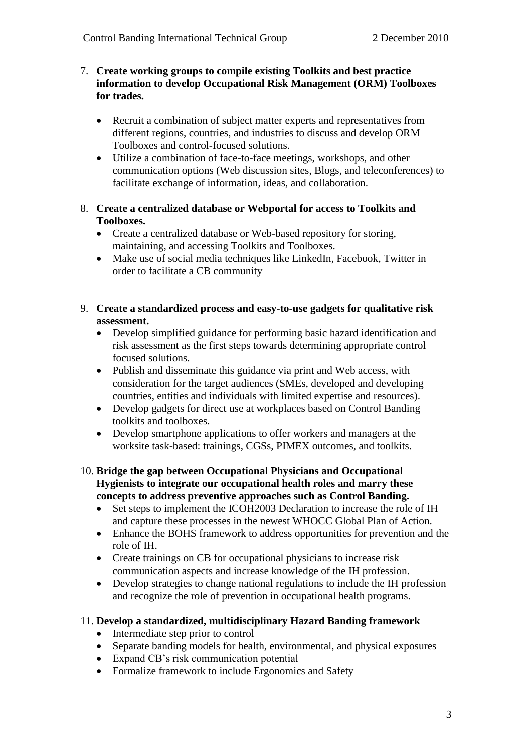#### 7. **Create working groups to compile existing Toolkits and best practice information to develop Occupational Risk Management (ORM) Toolboxes for trades.**

- Recruit a combination of subject matter experts and representatives from different regions, countries, and industries to discuss and develop ORM Toolboxes and control-focused solutions.
- Utilize a combination of face-to-face meetings, workshops, and other communication options (Web discussion sites, Blogs, and teleconferences) to facilitate exchange of information, ideas, and collaboration.
- 8. **Create a centralized database or Webportal for access to Toolkits and Toolboxes.**
	- Create a centralized database or Web-based repository for storing, maintaining, and accessing Toolkits and Toolboxes.
	- Make use of social media techniques like LinkedIn, Facebook, Twitter in order to facilitate a CB community
- 9. **Create a standardized process and easy-to-use gadgets for qualitative risk assessment.** 
	- Develop simplified guidance for performing basic hazard identification and risk assessment as the first steps towards determining appropriate control focused solutions.
	- Publish and disseminate this guidance via print and Web access, with consideration for the target audiences (SMEs, developed and developing countries, entities and individuals with limited expertise and resources).
	- Develop gadgets for direct use at workplaces based on Control Banding toolkits and toolboxes.
	- Develop smartphone applications to offer workers and managers at the worksite task-based: trainings, CGSs, PIMEX outcomes, and toolkits.
- 10. **Bridge the gap between Occupational Physicians and Occupational Hygienists to integrate our occupational health roles and marry these concepts to address preventive approaches such as Control Banding.**
	- Set steps to implement the ICOH2003 Declaration to increase the role of IH and capture these processes in the newest WHOCC Global Plan of Action.
	- Enhance the BOHS framework to address opportunities for prevention and the role of IH.
	- Create trainings on CB for occupational physicians to increase risk communication aspects and increase knowledge of the IH profession.
	- Develop strategies to change national regulations to include the IH profession and recognize the role of prevention in occupational health programs.

### 11. **Develop a standardized, multidisciplinary Hazard Banding framework**

- Intermediate step prior to control
- Separate banding models for health, environmental, and physical exposures
- Expand CB's risk communication potential
- Formalize framework to include Ergonomics and Safety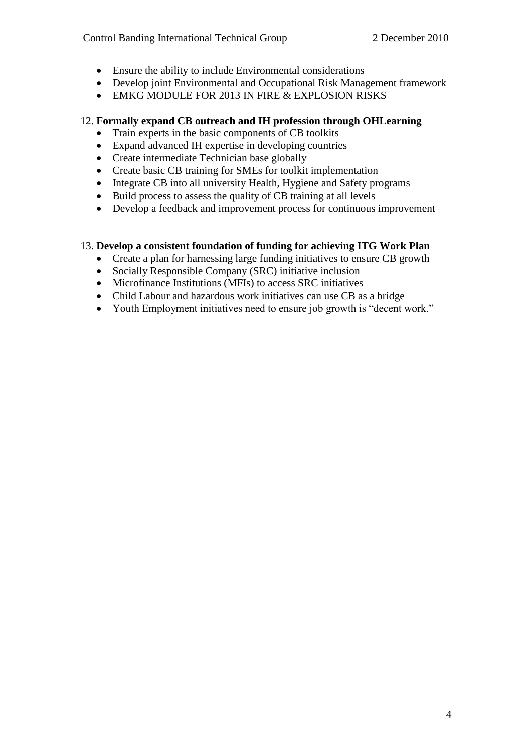- Ensure the ability to include Environmental considerations
- Develop joint Environmental and Occupational Risk Management framework
- EMKG MODULE FOR 2013 IN FIRE & EXPLOSION RISKS

### 12. **Formally expand CB outreach and IH profession through OHLearning**

- Train experts in the basic components of CB toolkits
- Expand advanced IH expertise in developing countries
- Create intermediate Technician base globally
- Create basic CB training for SMEs for toolkit implementation
- Integrate CB into all university Health, Hygiene and Safety programs
- Build process to assess the quality of CB training at all levels
- Develop a feedback and improvement process for continuous improvement

### 13. **Develop a consistent foundation of funding for achieving ITG Work Plan**

- Create a plan for harnessing large funding initiatives to ensure CB growth
- Socially Responsible Company (SRC) initiative inclusion
- Microfinance Institutions (MFIs) to access SRC initiatives
- Child Labour and hazardous work initiatives can use CB as a bridge
- Youth Employment initiatives need to ensure job growth is "decent work."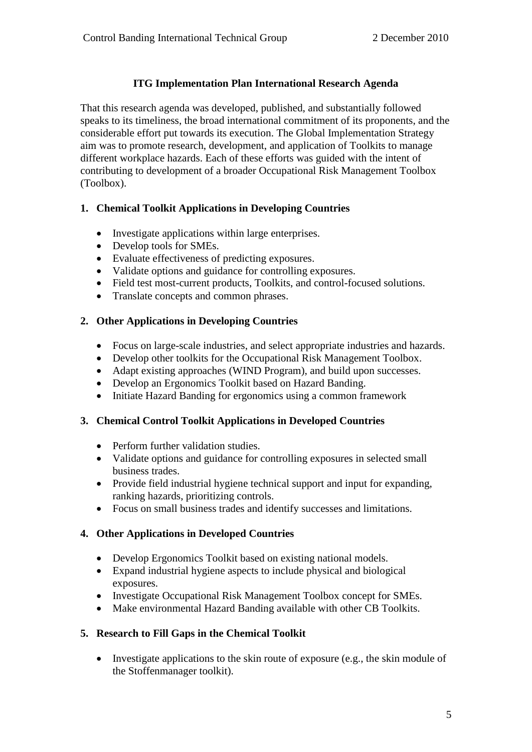## **ITG Implementation Plan International Research Agenda**

That this research agenda was developed, published, and substantially followed speaks to its timeliness, the broad international commitment of its proponents, and the considerable effort put towards its execution. The Global Implementation Strategy aim was to promote research, development, and application of Toolkits to manage different workplace hazards. Each of these efforts was guided with the intent of contributing to development of a broader Occupational Risk Management Toolbox (Toolbox).

## **1. Chemical Toolkit Applications in Developing Countries**

- Investigate applications within large enterprises.
- Develop tools for SMEs.
- Evaluate effectiveness of predicting exposures.
- Validate options and guidance for controlling exposures.
- Field test most-current products, Toolkits, and control-focused solutions.
- Translate concepts and common phrases.

# **2. Other Applications in Developing Countries**

- Focus on large-scale industries, and select appropriate industries and hazards.
- Develop other toolkits for the Occupational Risk Management Toolbox.
- Adapt existing approaches (WIND Program), and build upon successes.
- Develop an Ergonomics Toolkit based on Hazard Banding.
- Initiate Hazard Banding for ergonomics using a common framework

# **3. Chemical Control Toolkit Applications in Developed Countries**

- Perform further validation studies.
- Validate options and guidance for controlling exposures in selected small business trades.
- Provide field industrial hygiene technical support and input for expanding, ranking hazards, prioritizing controls.
- Focus on small business trades and identify successes and limitations.

# **4. Other Applications in Developed Countries**

- Develop Ergonomics Toolkit based on existing national models.
- Expand industrial hygiene aspects to include physical and biological exposures.
- Investigate Occupational Risk Management Toolbox concept for SMEs.
- Make environmental Hazard Banding available with other CB Toolkits.

# **5. Research to Fill Gaps in the Chemical Toolkit**

 $\bullet$  Investigate applications to the skin route of exposure (e.g., the skin module of the Stoffenmanager toolkit).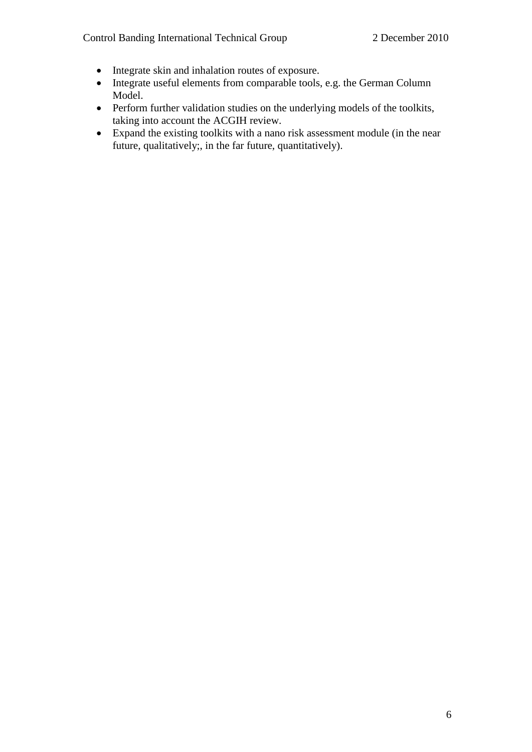- Integrate skin and inhalation routes of exposure.
- Integrate useful elements from comparable tools, e.g. the German Column Model.
- Perform further validation studies on the underlying models of the toolkits, taking into account the ACGIH review.
- Expand the existing toolkits with a nano risk assessment module (in the near future, qualitatively;, in the far future, quantitatively).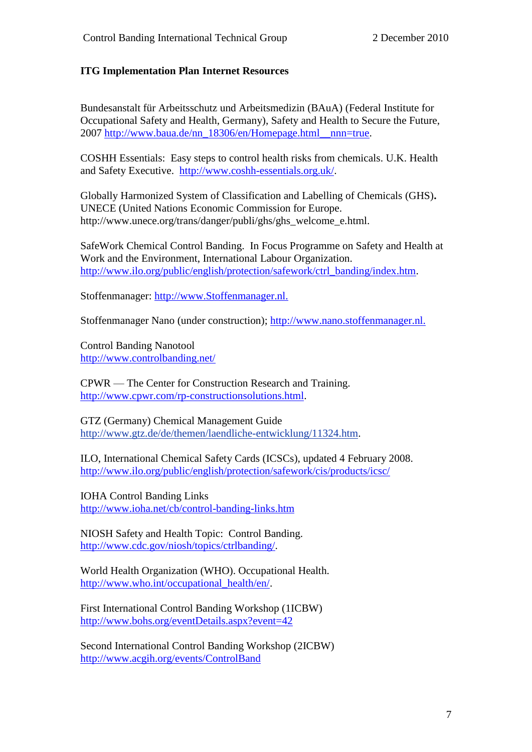### **ITG Implementation Plan Internet Resources**

Bundesanstalt für Arbeitsschutz und Arbeitsmedizin (BAuA) (Federal Institute for Occupational Safety and Health, Germany), Safety and Health to Secure the Future, 2007 [http://www.baua.de/nn\\_18306/en/Homepage.html\\_\\_nnn=true.](http://www.baua.de/nn_18306/en/Homepage.html__nnn=true)

COSHH Essentials: Easy steps to control health risks from chemicals. U.K. Health and Safety Executive. [http://www.coshh-essentials.org.uk/.](http://www.coshh-essentials.org.uk/)

Globally Harmonized System of Classification and Labelling of Chemicals (GHS)**.** UNECE (United Nations Economic Commission for Europe. http://www.unece.org/trans/danger/publi/ghs/ghs\_welcome\_e.html.

SafeWork Chemical Control Banding. In Focus Programme on Safety and Health at Work and the Environment, International Labour Organization. [http://www.ilo.org/public/english/protection/safework/ctrl\\_banding/index.htm.](http://www.ilo.org/public/english/protection/safework/ctrl_banding/index.htm)

Stoffenmanager: [http://www.Stoffenmanager.nl.](http://www.stoffenmanager.nl/) 

Stoffenmanager Nano (under construction); [http://www.nano.stoffenmanager.nl.](http://www.nano.stoffenmanager.nl./) 

Control Banding Nanotool <http://www.controlbanding.net/>

CPWR — The Center for Construction Research and Training. [http://www.cpwr.com/rp-constructionsolutions.html.](http://www.cpwr.com/rp-constructionsolutions.html)

GTZ (Germany) Chemical Management Guide http://www.gtz.de/de/themen/laendliche-entwicklung/11324.htm.

ILO, International Chemical Safety Cards (ICSCs), updated 4 February 2008. <http://www.ilo.org/public/english/protection/safework/cis/products/icsc/>

IOHA Control Banding Links <http://www.ioha.net/cb/control-banding-links.htm>

NIOSH Safety and Health Topic: Control Banding. [http://www.cdc.gov/niosh/topics/ctrlbanding/.](http://www.cdc.gov/niosh/topics/ctrlbanding/)

World Health Organization (WHO). Occupational Health. [http://www.who.int/occupational\\_health/en/.](http://www.who.int/occupational_health/en/)

First International Control Banding Workshop (1ICBW) <http://www.bohs.org/eventDetails.aspx?event=42>

Second International Control Banding Workshop (2ICBW) <http://www.acgih.org/events/ControlBand>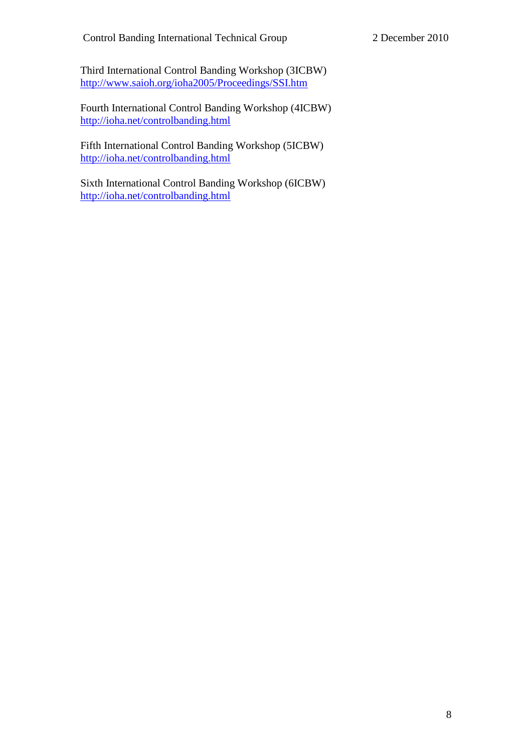Third International Control Banding Workshop (3ICBW) <http://www.saioh.org/ioha2005/Proceedings/SSI.htm>

Fourth International Control Banding Workshop (4ICBW) <http://ioha.net/controlbanding.html>

Fifth International Control Banding Workshop (5ICBW) <http://ioha.net/controlbanding.html>

Sixth International Control Banding Workshop (6ICBW) <http://ioha.net/controlbanding.html>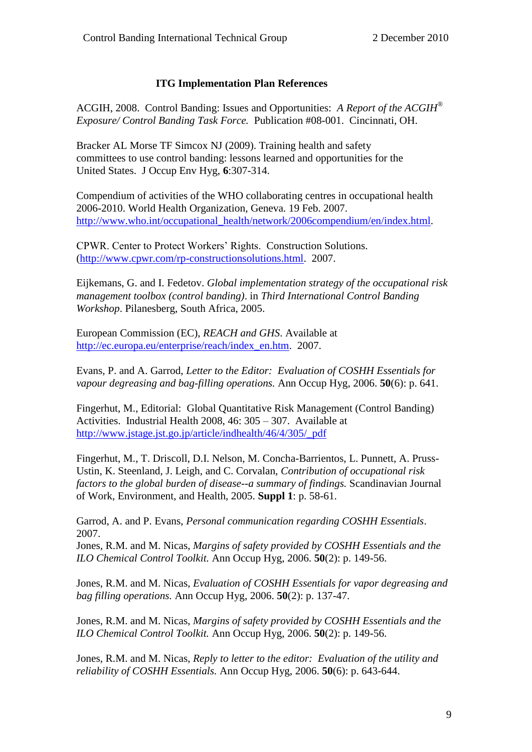### **ITG Implementation Plan References**

ACGIH, 2008. Control Banding: Issues and Opportunities: *A Report of the ACGIH® Exposure/ Control Banding Task Force.* Publication #08-001. Cincinnati, OH.

Bracker AL Morse TF Simcox NJ (2009). Training health and safety committees to use control banding: lessons learned and opportunities for the United States. J Occup Env Hyg, **6**:307-314.

Compendium of activities of the WHO collaborating centres in occupational health 2006-2010. World Health Organization, Geneva. 19 Feb. 2007. [http://www.who.int/occupational\\_health/network/2006compendium/en/index.html.](http://www.who.int/occupational_health/network/2006compendium/en/index.html)

CPWR. Center to Protect Workers' Rights. Construction Solutions. [\(http://www.cpwr.com/rp-constructionsolutions.html.](http://www.cpwr.com/rp-constructionsolutions.html) 2007.

Eijkemans, G. and I. Fedetov. *Global implementation strategy of the occupational risk management toolbox (control banding)*. in *Third International Control Banding Workshop*. Pilanesberg, South Africa, 2005.

European Commission (EC), *REACH and GHS*. Available at [http://ec.europa.eu/enterprise/reach/index\\_en.htm.](http://ec.europa.eu/enterprise/reach/index_en.htm) 2007.

Evans, P. and A. Garrod, *Letter to the Editor: Evaluation of COSHH Essentials for vapour degreasing and bag-filling operations.* Ann Occup Hyg, 2006. **50**(6): p. 641.

Fingerhut, M., Editorial: Global Quantitative Risk Management (Control Banding) Activities. Industrial Health 2008, 46: 305 – 307. Available at [http://www.jstage.jst.go.jp/article/indhealth/46/4/305/\\_pdf](http://www.jstage.jst.go.jp/article/indhealth/46/4/305/_pdf)

Fingerhut, M., T. Driscoll, D.I. Nelson, M. Concha-Barrientos, L. Punnett, A. Pruss-Ustin, K. Steenland, J. Leigh, and C. Corvalan, *Contribution of occupational risk factors to the global burden of disease--a summary of findings.* Scandinavian Journal of Work, Environment, and Health, 2005. **Suppl 1**: p. 58-61.

Garrod, A. and P. Evans, *Personal communication regarding COSHH Essentials*. 2007.

Jones, R.M. and M. Nicas, *Margins of safety provided by COSHH Essentials and the ILO Chemical Control Toolkit.* Ann Occup Hyg, 2006. **50**(2): p. 149-56.

Jones, R.M. and M. Nicas, *Evaluation of COSHH Essentials for vapor degreasing and bag filling operations.* Ann Occup Hyg, 2006. **50**(2): p. 137-47.

Jones, R.M. and M. Nicas, *Margins of safety provided by COSHH Essentials and the ILO Chemical Control Toolkit.* Ann Occup Hyg, 2006. **50**(2): p. 149-56.

Jones, R.M. and M. Nicas, *Reply to letter to the editor: Evaluation of the utility and reliability of COSHH Essentials.* Ann Occup Hyg, 2006. **50**(6): p. 643-644.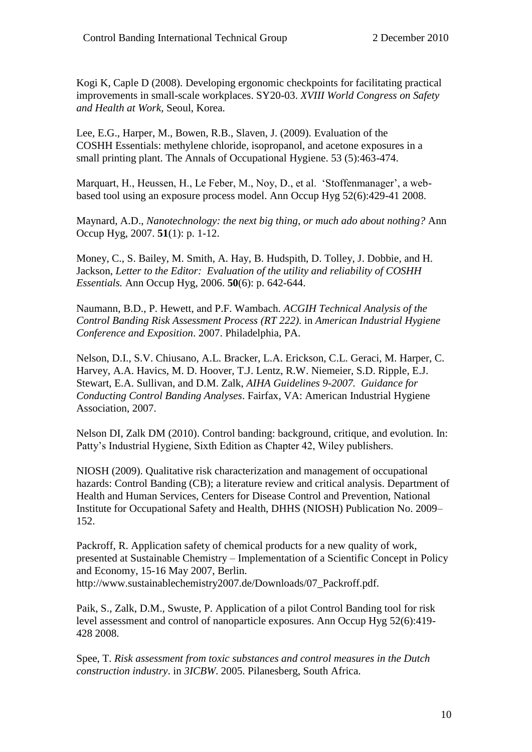Kogi K, Caple D (2008). Developing ergonomic checkpoints for facilitating practical improvements in small-scale workplaces. SY20-03. *XVIII World Congress on Safety and Health at Work*, Seoul, Korea.

Lee, E.G., Harper, M., Bowen, R.B., Slaven, J. (2009). Evaluation of the COSHH Essentials: methylene chloride, isopropanol, and acetone exposures in a small printing plant. The Annals of Occupational Hygiene. 53 (5):463-474.

Marquart, H., Heussen, H., Le Feber, M., Noy, D., et al. 'Stoffenmanager', a webbased tool using an exposure process model. Ann Occup Hyg 52(6):429-41 2008.

Maynard, A.D., *Nanotechnology: the next big thing, or much ado about nothing?* Ann Occup Hyg, 2007. **51**(1): p. 1-12.

Money, C., S. Bailey, M. Smith, A. Hay, B. Hudspith, D. Tolley, J. Dobbie, and H. Jackson, *Letter to the Editor: Evaluation of the utility and reliability of COSHH Essentials.* Ann Occup Hyg, 2006. **50**(6): p. 642-644.

Naumann, B.D., P. Hewett, and P.F. Wambach. *ACGIH Technical Analysis of the Control Banding Risk Assessment Process (RT 222)*. in *American Industrial Hygiene Conference and Exposition*. 2007. Philadelphia, PA.

Nelson, D.I., S.V. Chiusano, A.L. Bracker, L.A. Erickson, C.L. Geraci, M. Harper, C. Harvey, A.A. Havics, M. D. Hoover, T.J. Lentz, R.W. Niemeier, S.D. Ripple, E.J. Stewart, E.A. Sullivan, and D.M. Zalk, *AIHA Guidelines 9-2007. Guidance for Conducting Control Banding Analyses*. Fairfax, VA: American Industrial Hygiene Association, 2007.

Nelson DI, Zalk DM (2010). Control banding: background, critique, and evolution. In: Patty's Industrial Hygiene, Sixth Edition as Chapter 42, Wiley publishers.

NIOSH (2009). Qualitative risk characterization and management of occupational hazards: Control Banding (CB); a literature review and critical analysis. Department of Health and Human Services, Centers for Disease Control and Prevention, National Institute for Occupational Safety and Health, DHHS (NIOSH) Publication No. 2009– 152.

Packroff, R. Application safety of chemical products for a new quality of work, presented at Sustainable Chemistry – Implementation of a Scientific Concept in Policy and Economy, 15-16 May 2007, Berlin. http://www.sustainablechemistry2007.de/Downloads/07\_Packroff.pdf.

Paik, S., Zalk, D.M., Swuste, P. Application of a pilot Control Banding tool for risk level assessment and control of nanoparticle exposures. Ann Occup Hyg 52(6):419- 428 2008.

Spee, T. *Risk assessment from toxic substances and control measures in the Dutch construction industry*. in *3ICBW*. 2005. Pilanesberg, South Africa.